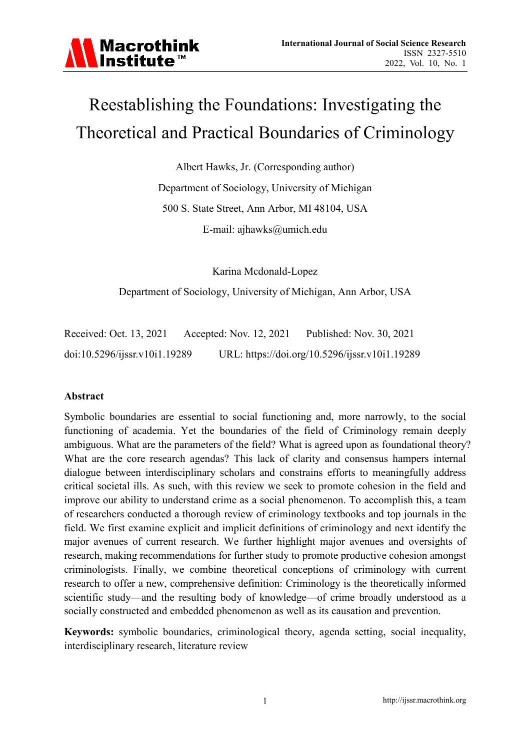

# Reestablishing the Foundations: Investigating the Theoretical and Practical Boundaries of Criminology

Albert Hawks, Jr. (Corresponding author) Department of Sociology, University of Michigan 500 S. State Street, Ann Arbor, MI 48104, USA E-mail: ajhawks@umich.edu

Karina Mcdonald-Lopez

Department of Sociology, University of Michigan, Ann Arbor, USA

Received: Oct. 13, 2021 Accepted: Nov. 12, 2021 Published: Nov. 30, 2021 doi:10.5296/ijssr.v10i1.19289 URL: https://doi.org/10.5296/ijssr.v10i1.19289

#### **Abstract**

Symbolic boundaries are essential to social functioning and, more narrowly, to the social functioning of academia. Yet the boundaries of the field of Criminology remain deeply ambiguous. What are the parameters of the field? What is agreed upon as foundational theory? What are the core research agendas? This lack of clarity and consensus hampers internal dialogue between interdisciplinary scholars and constrains efforts to meaningfully address critical societal ills. As such, with this review we seek to promote cohesion in the field and improve our ability to understand crime as a social phenomenon. To accomplish this, a team of researchers conducted a thorough review of criminology textbooks and top journals in the field. We first examine explicit and implicit definitions of criminology and next identify the major avenues of current research. We further highlight major avenues and oversights of research, making recommendations for further study to promote productive cohesion amongst criminologists. Finally, we combine theoretical conceptions of criminology with current research to offer a new, comprehensive definition: Criminology is the theoretically informed scientific study—and the resulting body of knowledge—of crime broadly understood as a socially constructed and embedded phenomenon as well as its causation and prevention.

**Keywords:** symbolic boundaries, criminological theory, agenda setting, social inequality, interdisciplinary research, literature review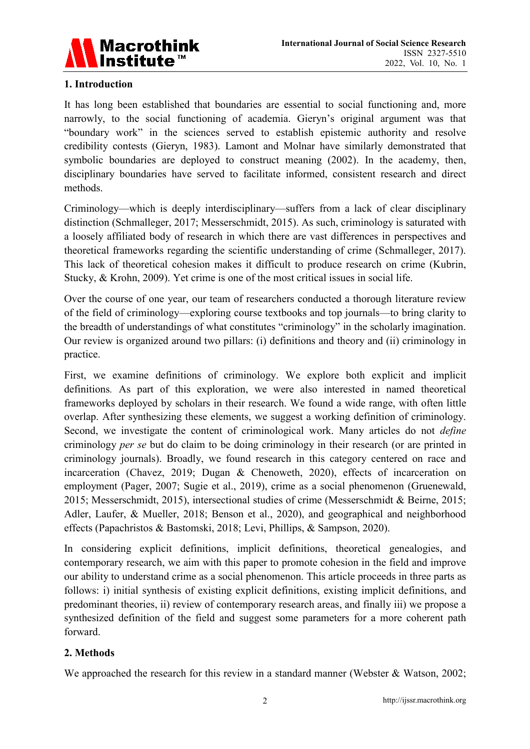

# **1. Introduction**

It has long been established that boundaries are essential to social functioning and, more narrowly, to the social functioning of academia. Gieryn's original argument was that "boundary work" in the sciences served to establish epistemic authority and resolve credibility contests (Gieryn, 1983). Lamont and Molnar have similarly demonstrated that symbolic boundaries are deployed to construct meaning (2002). In the academy, then, disciplinary boundaries have served to facilitate informed, consistent research and direct methods.

Criminology—which is deeply interdisciplinary—suffers from a lack of clear disciplinary distinction (Schmalleger, 2017; Messerschmidt, 2015). As such, criminology is saturated with a loosely affiliated body of research in which there are vast differences in perspectives and theoretical frameworks regarding the scientific understanding of crime (Schmalleger, 2017). This lack of theoretical cohesion makes it difficult to produce research on crime (Kubrin, Stucky, & Krohn, 2009). Yet crime is one of the most critical issues in social life.

Over the course of one year, our team of researchers conducted a thorough literature review of the field of criminology—exploring course textbooks and top journals—to bring clarity to the breadth of understandings of what constitutes "criminology" in the scholarly imagination. Our review is organized around two pillars: (i) definitions and theory and (ii) criminology in practice.

First, we examine definitions of criminology. We explore both explicit and implicit definitions*.* As part of this exploration, we were also interested in named theoretical frameworks deployed by scholars in their research. We found a wide range, with often little overlap. After synthesizing these elements, we suggest a working definition of criminology. Second, we investigate the content of criminological work. Many articles do not *define*  criminology *per se* but do claim to be doing criminology in their research (or are printed in criminology journals). Broadly, we found research in this category centered on race and incarceration (Chavez, 2019; Dugan & Chenoweth, 2020), effects of incarceration on employment (Pager, 2007; Sugie et al., 2019), crime as a social phenomenon (Gruenewald, 2015; Messerschmidt, 2015), intersectional studies of crime (Messerschmidt & Beirne, 2015; Adler, Laufer, & Mueller, 2018; Benson et al., 2020), and geographical and neighborhood effects (Papachristos & Bastomski, 2018; Levi, Phillips, & Sampson, 2020).

In considering explicit definitions, implicit definitions, theoretical genealogies, and contemporary research, we aim with this paper to promote cohesion in the field and improve our ability to understand crime as a social phenomenon. This article proceeds in three parts as follows: i) initial synthesis of existing explicit definitions, existing implicit definitions, and predominant theories, ii) review of contemporary research areas, and finally iii) we propose a synthesized definition of the field and suggest some parameters for a more coherent path forward.

#### **2. Methods**

We approached the research for this review in a standard manner (Webster & Watson, 2002;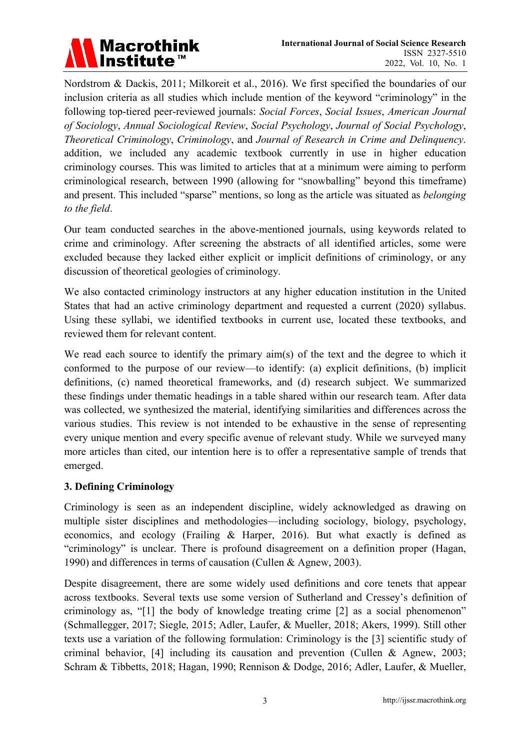

Nordstrom & Dackis, 2011; Milkoreit et al., 2016). We first specified the boundaries of our inclusion criteria as all studies which include mention of the keyword "criminology" in the following top-tiered peer-reviewed journals: *Social Forces*, *Social Issues*, *American Journal of Sociology*, *Annual Sociological Review*, *Social Psychology*, *Journal of Social Psychology*, *Theoretical Criminology*, *Criminology*, and *Journal of Research in Crime and Delinquency*. addition, we included any academic textbook currently in use in higher education criminology courses. This was limited to articles that at a minimum were aiming to perform criminological research, between 1990 (allowing for "snowballing" beyond this timeframe) and present. This included "sparse" mentions, so long as the article was situated as *belonging to the field*.

Our team conducted searches in the above-mentioned journals, using keywords related to crime and criminology. After screening the abstracts of all identified articles, some were excluded because they lacked either explicit or implicit definitions of criminology, or any discussion of theoretical geologies of criminology.

We also contacted criminology instructors at any higher education institution in the United States that had an active criminology department and requested a current (2020) syllabus. Using these syllabi, we identified textbooks in current use, located these textbooks, and reviewed them for relevant content.

We read each source to identify the primary aim(s) of the text and the degree to which it conformed to the purpose of our review—to identify: (a) explicit definitions, (b) implicit definitions, (c) named theoretical frameworks, and (d) research subject. We summarized these findings under thematic headings in a table shared within our research team. After data was collected, we synthesized the material, identifying similarities and differences across the various studies. This review is not intended to be exhaustive in the sense of representing every unique mention and every specific avenue of relevant study. While we surveyed many more articles than cited, our intention here is to offer a representative sample of trends that emerged.

#### **3. Defining Criminology**

Criminology is seen as an independent discipline, widely acknowledged as drawing on multiple sister disciplines and methodologies—including sociology, biology, psychology, economics, and ecology (Frailing & Harper, 2016). But what exactly is defined as "criminology" is unclear. There is profound disagreement on a definition proper (Hagan, 1990) and differences in terms of causation (Cullen & Agnew, 2003).

Despite disagreement, there are some widely used definitions and core tenets that appear across textbooks. Several texts use some version of Sutherland and Cressey's definition of criminology as, "[1] the body of knowledge treating crime [2] as a social phenomenon" (Schmallegger, 2017; Siegle, 2015; Adler, Laufer, & Mueller, 2018; Akers, 1999). Still other texts use a variation of the following formulation: Criminology is the [3] scientific study of criminal behavior, [4] including its causation and prevention (Cullen & Agnew, 2003; Schram & Tibbetts, 2018; Hagan, 1990; Rennison & Dodge, 2016; Adler, Laufer, & Mueller,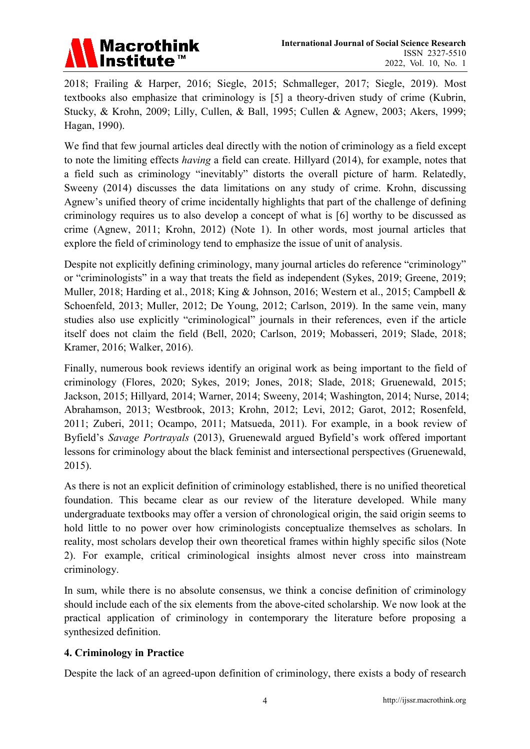

2018; Frailing & Harper, 2016; Siegle, 2015; Schmalleger, 2017; Siegle, 2019). Most textbooks also emphasize that criminology is [5] a theory-driven study of crime (Kubrin, Stucky, & Krohn, 2009; Lilly, Cullen, & Ball, 1995; Cullen & Agnew, 2003; Akers, 1999; Hagan, 1990).

We find that few journal articles deal directly with the notion of criminology as a field except to note the limiting effects *having* a field can create. Hillyard (2014), for example, notes that a field such as criminology "inevitably" distorts the overall picture of harm. Relatedly, Sweeny (2014) discusses the data limitations on any study of crime. Krohn, discussing Agnew's unified theory of crime incidentally highlights that part of the challenge of defining criminology requires us to also develop a concept of what is [6] worthy to be discussed as crime (Agnew, 2011; Krohn, 2012) (Note 1). In other words, most journal articles that explore the field of criminology tend to emphasize the issue of unit of analysis.

Despite not explicitly defining criminology, many journal articles do reference "criminology" or "criminologists" in a way that treats the field as independent (Sykes, 2019; Greene, 2019; Muller, 2018; Harding et al., 2018; King & Johnson, 2016; Western et al., 2015; Campbell & Schoenfeld, 2013; Muller, 2012; De Young, 2012; Carlson, 2019). In the same vein, many studies also use explicitly "criminological" journals in their references, even if the article itself does not claim the field (Bell, 2020; Carlson, 2019; Mobasseri, 2019; Slade, 2018; Kramer, 2016; Walker, 2016).

Finally, numerous book reviews identify an original work as being important to the field of criminology (Flores, 2020; Sykes, 2019; Jones, 2018; Slade, 2018; Gruenewald, 2015; Jackson, 2015; Hillyard, 2014; Warner, 2014; Sweeny, 2014; Washington, 2014; Nurse, 2014; Abrahamson, 2013; Westbrook, 2013; Krohn, 2012; Levi, 2012; Garot, 2012; Rosenfeld, 2011; Zuberi, 2011; Ocampo, 2011; Matsueda, 2011). For example, in a book review of Byfield's *Savage Portrayals* (2013), Gruenewald argued Byfield's work offered important lessons for criminology about the black feminist and intersectional perspectives (Gruenewald, 2015).

As there is not an explicit definition of criminology established, there is no unified theoretical foundation. This became clear as our review of the literature developed. While many undergraduate textbooks may offer a version of chronological origin, the said origin seems to hold little to no power over how criminologists conceptualize themselves as scholars. In reality, most scholars develop their own theoretical frames within highly specific silos (Note 2). For example, critical criminological insights almost never cross into mainstream criminology.

In sum, while there is no absolute consensus, we think a concise definition of criminology should include each of the six elements from the above-cited scholarship. We now look at the practical application of criminology in contemporary the literature before proposing a synthesized definition.

#### **4. Criminology in Practice**

Despite the lack of an agreed-upon definition of criminology, there exists a body of research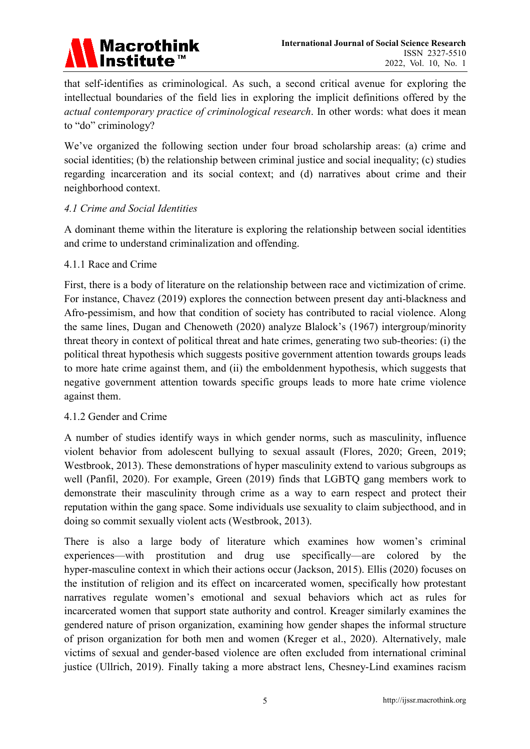

that self-identifies as criminological. As such, a second critical avenue for exploring the intellectual boundaries of the field lies in exploring the implicit definitions offered by the *actual contemporary practice of criminological research*. In other words: what does it mean to "do" criminology?

We've organized the following section under four broad scholarship areas: (a) crime and social identities; (b) the relationship between criminal justice and social inequality; (c) studies regarding incarceration and its social context; and (d) narratives about crime and their neighborhood context.

#### *4.1 Crime and Social Identities*

A dominant theme within the literature is exploring the relationship between social identities and crime to understand criminalization and offending.

#### 4.1.1 Race and Crime

First, there is a body of literature on the relationship between race and victimization of crime. For instance, Chavez (2019) explores the connection between present day anti-blackness and Afro-pessimism, and how that condition of society has contributed to racial violence. Along the same lines, Dugan and Chenoweth (2020) analyze Blalock's (1967) intergroup/minority threat theory in context of political threat and hate crimes, generating two sub-theories: (i) the political threat hypothesis which suggests positive government attention towards groups leads to more hate crime against them, and (ii) the emboldenment hypothesis, which suggests that negative government attention towards specific groups leads to more hate crime violence against them.

#### 4.1.2 Gender and Crime

A number of studies identify ways in which gender norms, such as masculinity, influence violent behavior from adolescent bullying to sexual assault (Flores, 2020; Green, 2019; Westbrook, 2013). These demonstrations of hyper masculinity extend to various subgroups as well (Panfil, 2020). For example, Green (2019) finds that LGBTQ gang members work to demonstrate their masculinity through crime as a way to earn respect and protect their reputation within the gang space. Some individuals use sexuality to claim subjecthood, and in doing so commit sexually violent acts (Westbrook, 2013).

There is also a large body of literature which examines how women's criminal experiences—with prostitution and drug use specifically—are colored by the hyper-masculine context in which their actions occur (Jackson, 2015). Ellis (2020) focuses on the institution of religion and its effect on incarcerated women, specifically how protestant narratives regulate women's emotional and sexual behaviors which act as rules for incarcerated women that support state authority and control. Kreager similarly examines the gendered nature of prison organization, examining how gender shapes the informal structure of prison organization for both men and women (Kreger et al., 2020). Alternatively, male victims of sexual and gender-based violence are often excluded from international criminal justice (Ullrich, 2019). Finally taking a more abstract lens, Chesney-Lind examines racism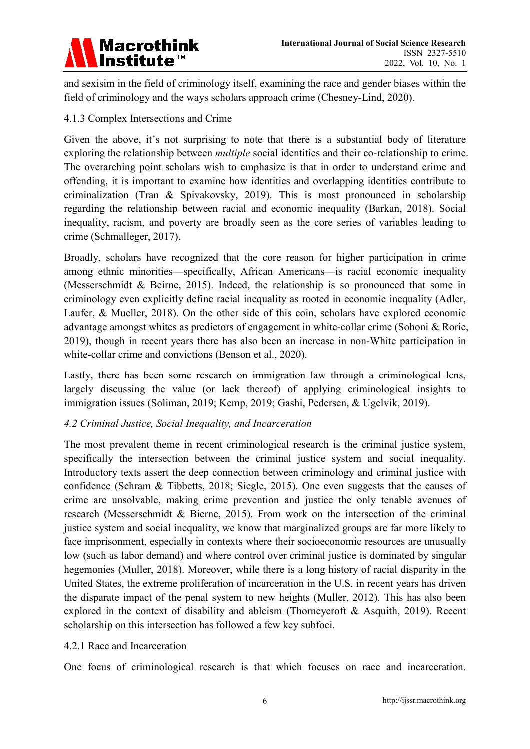

and sexisim in the field of criminology itself, examining the race and gender biases within the field of criminology and the ways scholars approach crime (Chesney-Lind, 2020).

# 4.1.3 Complex Intersections and Crime

Given the above, it's not surprising to note that there is a substantial body of literature exploring the relationship between *multiple* social identities and their co-relationship to crime. The overarching point scholars wish to emphasize is that in order to understand crime and offending, it is important to examine how identities and overlapping identities contribute to criminalization (Tran & Spivakovsky, 2019). This is most pronounced in scholarship regarding the relationship between racial and economic inequality (Barkan, 2018). Social inequality, racism, and poverty are broadly seen as the core series of variables leading to crime (Schmalleger, 2017).

Broadly, scholars have recognized that the core reason for higher participation in crime among ethnic minorities—specifically, African Americans—is racial economic inequality (Messerschmidt & Beirne, 2015). Indeed, the relationship is so pronounced that some in criminology even explicitly define racial inequality as rooted in economic inequality (Adler, Laufer, & Mueller, 2018). On the other side of this coin, scholars have explored economic advantage amongst whites as predictors of engagement in white-collar crime (Sohoni & Rorie, 2019), though in recent years there has also been an increase in non-White participation in white-collar crime and convictions (Benson et al., 2020).

Lastly, there has been some research on immigration law through a criminological lens, largely discussing the value (or lack thereof) of applying criminological insights to immigration issues (Soliman, 2019; Kemp, 2019; Gashi, Pedersen, & Ugelvik, 2019).

#### *4.2 Criminal Justice, Social Inequality, and Incarceration*

The most prevalent theme in recent criminological research is the criminal justice system, specifically the intersection between the criminal justice system and social inequality. Introductory texts assert the deep connection between criminology and criminal justice with confidence (Schram & Tibbetts, 2018; Siegle, 2015). One even suggests that the causes of crime are unsolvable, making crime prevention and justice the only tenable avenues of research (Messerschmidt & Bierne, 2015). From work on the intersection of the criminal justice system and social inequality, we know that marginalized groups are far more likely to face imprisonment, especially in contexts where their socioeconomic resources are unusually low (such as labor demand) and where control over criminal justice is dominated by singular hegemonies (Muller, 2018). Moreover, while there is a long history of racial disparity in the United States, the extreme proliferation of incarceration in the U.S. in recent years has driven the disparate impact of the penal system to new heights (Muller, 2012). This has also been explored in the context of disability and ableism (Thorneycroft & Asquith, 2019). Recent scholarship on this intersection has followed a few key subfoci.

#### 4.2.1 Race and Incarceration

One focus of criminological research is that which focuses on race and incarceration.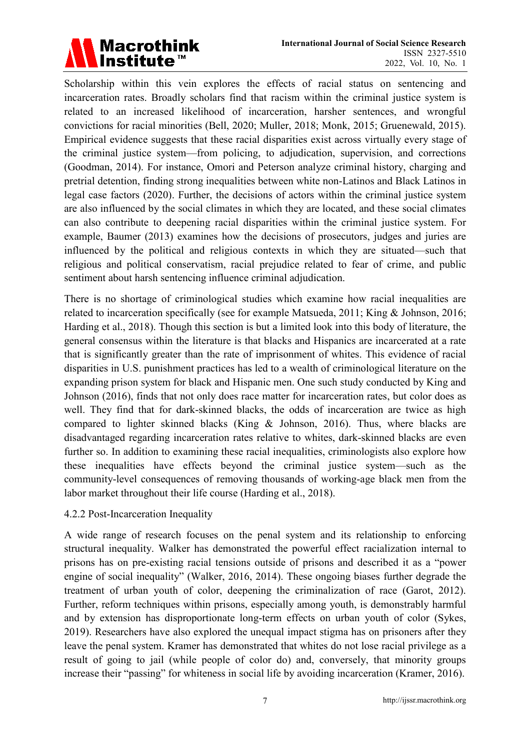

Scholarship within this vein explores the effects of racial status on sentencing and incarceration rates. Broadly scholars find that racism within the criminal justice system is related to an increased likelihood of incarceration, harsher sentences, and wrongful convictions for racial minorities (Bell, 2020; Muller, 2018; Monk, 2015; Gruenewald, 2015). Empirical evidence suggests that these racial disparities exist across virtually every stage of the criminal justice system—from policing, to adjudication, supervision, and corrections (Goodman, 2014). For instance, Omori and Peterson analyze criminal history, charging and pretrial detention, finding strong inequalities between white non-Latinos and Black Latinos in legal case factors (2020). Further, the decisions of actors within the criminal justice system are also influenced by the social climates in which they are located, and these social climates can also contribute to deepening racial disparities within the criminal justice system. For example, Baumer (2013) examines how the decisions of prosecutors, judges and juries are influenced by the political and religious contexts in which they are situated—such that religious and political conservatism, racial prejudice related to fear of crime, and public sentiment about harsh sentencing influence criminal adjudication.

There is no shortage of criminological studies which examine how racial inequalities are related to incarceration specifically (see for example Matsueda, 2011; King & Johnson, 2016; Harding et al., 2018). Though this section is but a limited look into this body of literature, the general consensus within the literature is that blacks and Hispanics are incarcerated at a rate that is significantly greater than the rate of imprisonment of whites. This evidence of racial disparities in U.S. punishment practices has led to a wealth of criminological literature on the expanding prison system for black and Hispanic men. One such study conducted by King and Johnson (2016), finds that not only does race matter for incarceration rates, but color does as well. They find that for dark-skinned blacks, the odds of incarceration are twice as high compared to lighter skinned blacks (King & Johnson, 2016). Thus, where blacks are disadvantaged regarding incarceration rates relative to whites, dark-skinned blacks are even further so. In addition to examining these racial inequalities, criminologists also explore how these inequalities have effects beyond the criminal justice system—such as the community-level consequences of removing thousands of working-age black men from the labor market throughout their life course (Harding et al., 2018).

#### 4.2.2 Post-Incarceration Inequality

A wide range of research focuses on the penal system and its relationship to enforcing structural inequality. Walker has demonstrated the powerful effect racialization internal to prisons has on pre-existing racial tensions outside of prisons and described it as a "power engine of social inequality" (Walker, 2016, 2014). These ongoing biases further degrade the treatment of urban youth of color, deepening the criminalization of race (Garot, 2012). Further, reform techniques within prisons, especially among youth, is demonstrably harmful and by extension has disproportionate long-term effects on urban youth of color (Sykes, 2019). Researchers have also explored the unequal impact stigma has on prisoners after they leave the penal system. Kramer has demonstrated that whites do not lose racial privilege as a result of going to jail (while people of color do) and, conversely, that minority groups increase their "passing" for whiteness in social life by avoiding incarceration (Kramer, 2016).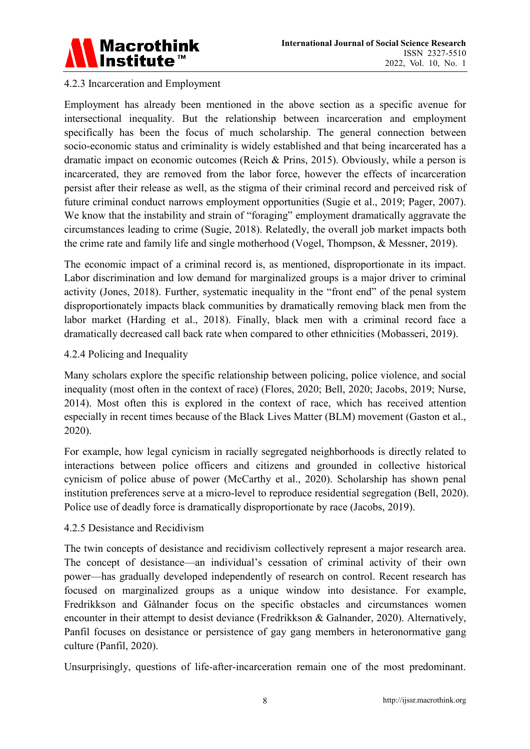

# 4.2.3 Incarceration and Employment

Employment has already been mentioned in the above section as a specific avenue for intersectional inequality. But the relationship between incarceration and employment specifically has been the focus of much scholarship. The general connection between socio-economic status and criminality is widely established and that being incarcerated has a dramatic impact on economic outcomes (Reich & Prins, 2015). Obviously, while a person is incarcerated, they are removed from the labor force, however the effects of incarceration persist after their release as well, as the stigma of their criminal record and perceived risk of future criminal conduct narrows employment opportunities (Sugie et al., 2019; Pager, 2007). We know that the instability and strain of "foraging" employment dramatically aggravate the circumstances leading to crime (Sugie, 2018). Relatedly, the overall job market impacts both the crime rate and family life and single motherhood (Vogel, Thompson, & Messner, 2019).

The economic impact of a criminal record is, as mentioned, disproportionate in its impact. Labor discrimination and low demand for marginalized groups is a major driver to criminal activity (Jones, 2018). Further, systematic inequality in the "front end" of the penal system disproportionately impacts black communities by dramatically removing black men from the labor market (Harding et al., 2018). Finally, black men with a criminal record face a dramatically decreased call back rate when compared to other ethnicities (Mobasseri, 2019).

#### 4.2.4 Policing and Inequality

Many scholars explore the specific relationship between policing, police violence, and social inequality (most often in the context of race) (Flores, 2020; Bell, 2020; Jacobs, 2019; Nurse, 2014). Most often this is explored in the context of race, which has received attention especially in recent times because of the Black Lives Matter (BLM) movement (Gaston et al., 2020).

For example, how legal cynicism in racially segregated neighborhoods is directly related to interactions between police officers and citizens and grounded in collective historical cynicism of police abuse of power (McCarthy et al., 2020). Scholarship has shown penal institution preferences serve at a micro-level to reproduce residential segregation (Bell, 2020). Police use of deadly force is dramatically disproportionate by race (Jacobs, 2019).

#### 4.2.5 Desistance and Recidivism

The twin concepts of desistance and recidivism collectively represent a major research area. The concept of desistance—an individual's cessation of criminal activity of their own power—has gradually developed independently of research on control. Recent research has focused on marginalized groups as a unique window into desistance. For example, Fredrikkson and Gålnander focus on the specific obstacles and circumstances women encounter in their attempt to desist deviance (Fredrikkson & Galnander, 2020). Alternatively, Panfil focuses on desistance or persistence of gay gang members in heteronormative gang culture (Panfil, 2020).

Unsurprisingly, questions of life-after-incarceration remain one of the most predominant.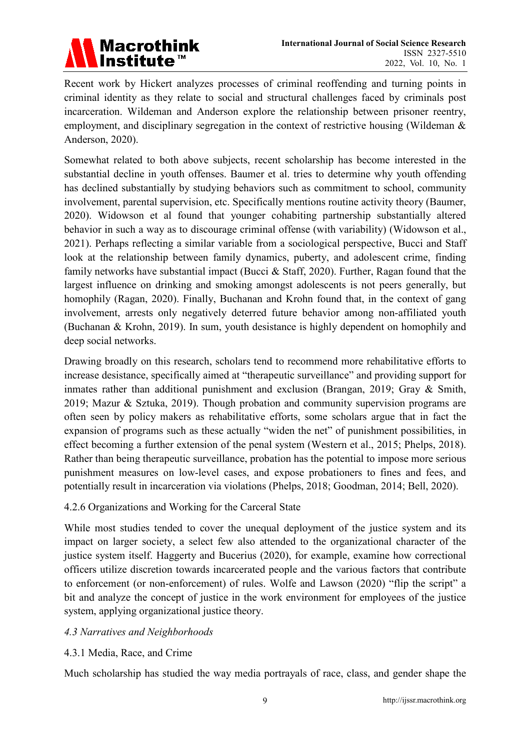

Recent work by Hickert analyzes processes of criminal reoffending and turning points in criminal identity as they relate to social and structural challenges faced by criminals post incarceration. Wildeman and Anderson explore the relationship between prisoner reentry, employment, and disciplinary segregation in the context of restrictive housing (Wildeman & Anderson, 2020).

Somewhat related to both above subjects, recent scholarship has become interested in the substantial decline in youth offenses. Baumer et al. tries to determine why youth offending has declined substantially by studying behaviors such as commitment to school, community involvement, parental supervision, etc. Specifically mentions routine activity theory (Baumer, 2020). Widowson et al found that younger cohabiting partnership substantially altered behavior in such a way as to discourage criminal offense (with variability) (Widowson et al., 2021). Perhaps reflecting a similar variable from a sociological perspective, Bucci and Staff look at the relationship between family dynamics, puberty, and adolescent crime, finding family networks have substantial impact (Bucci & Staff, 2020). Further, Ragan found that the largest influence on drinking and smoking amongst adolescents is not peers generally, but homophily (Ragan, 2020). Finally, Buchanan and Krohn found that, in the context of gang involvement, arrests only negatively deterred future behavior among non-affiliated youth (Buchanan & Krohn, 2019). In sum, youth desistance is highly dependent on homophily and deep social networks.

Drawing broadly on this research, scholars tend to recommend more rehabilitative efforts to increase desistance, specifically aimed at "therapeutic surveillance" and providing support for inmates rather than additional punishment and exclusion (Brangan, 2019; Gray & Smith, 2019; Mazur & Sztuka, 2019). Though probation and community supervision programs are often seen by policy makers as rehabilitative efforts, some scholars argue that in fact the expansion of programs such as these actually "widen the net" of punishment possibilities, in effect becoming a further extension of the penal system (Western et al., 2015; Phelps, 2018). Rather than being therapeutic surveillance, probation has the potential to impose more serious punishment measures on low-level cases, and expose probationers to fines and fees, and potentially result in incarceration via violations (Phelps, 2018; Goodman, 2014; Bell, 2020).

#### 4.2.6 Organizations and Working for the Carceral State

While most studies tended to cover the unequal deployment of the justice system and its impact on larger society, a select few also attended to the organizational character of the justice system itself. Haggerty and Bucerius (2020), for example, examine how correctional officers utilize discretion towards incarcerated people and the various factors that contribute to enforcement (or non-enforcement) of rules. Wolfe and Lawson (2020) "flip the script" a bit and analyze the concept of justice in the work environment for employees of the justice system, applying organizational justice theory.

#### *4.3 Narratives and Neighborhoods*

#### 4.3.1 Media, Race, and Crime

Much scholarship has studied the way media portrayals of race, class, and gender shape the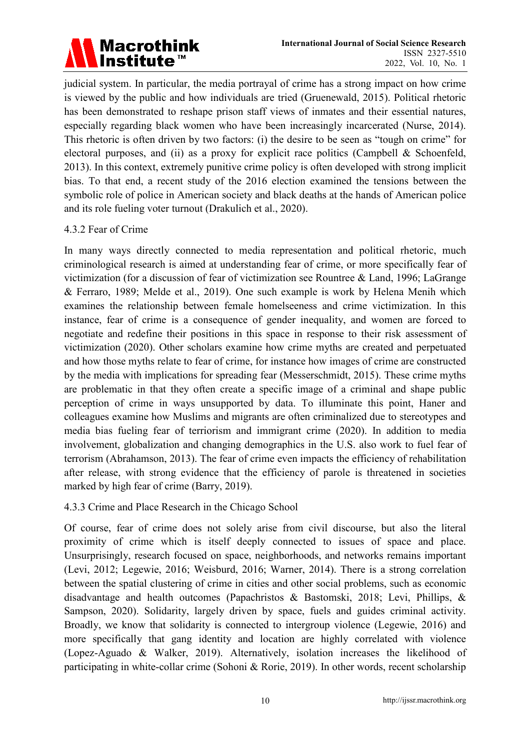

judicial system. In particular, the media portrayal of crime has a strong impact on how crime is viewed by the public and how individuals are tried (Gruenewald, 2015). Political rhetoric has been demonstrated to reshape prison staff views of inmates and their essential natures, especially regarding black women who have been increasingly incarcerated (Nurse, 2014). This rhetoric is often driven by two factors: (i) the desire to be seen as "tough on crime" for electoral purposes, and (ii) as a proxy for explicit race politics (Campbell  $\&$  Schoenfeld, 2013). In this context, extremely punitive crime policy is often developed with strong implicit bias. To that end, a recent study of the 2016 election examined the tensions between the symbolic role of police in American society and black deaths at the hands of American police and its role fueling voter turnout (Drakulich et al., 2020).

#### 4.3.2 Fear of Crime

In many ways directly connected to media representation and political rhetoric, much criminological research is aimed at understanding fear of crime, or more specifically fear of victimization (for a discussion of fear of victimization see Rountree & Land, 1996; LaGrange & Ferraro, 1989; Melde et al., 2019). One such example is work by Helena Menih which examines the relationship between female homelseeness and crime victimization. In this instance, fear of crime is a consequence of gender inequality, and women are forced to negotiate and redefine their positions in this space in response to their risk assessment of victimization (2020). Other scholars examine how crime myths are created and perpetuated and how those myths relate to fear of crime, for instance how images of crime are constructed by the media with implications for spreading fear (Messerschmidt, 2015). These crime myths are problematic in that they often create a specific image of a criminal and shape public perception of crime in ways unsupported by data. To illuminate this point, Haner and colleagues examine how Muslims and migrants are often criminalized due to stereotypes and media bias fueling fear of terriorism and immigrant crime (2020). In addition to media involvement, globalization and changing demographics in the U.S. also work to fuel fear of terrorism (Abrahamson, 2013). The fear of crime even impacts the efficiency of rehabilitation after release, with strong evidence that the efficiency of parole is threatened in societies marked by high fear of crime (Barry, 2019).

#### 4.3.3 Crime and Place Research in the Chicago School

Of course, fear of crime does not solely arise from civil discourse, but also the literal proximity of crime which is itself deeply connected to issues of space and place. Unsurprisingly, research focused on space, neighborhoods, and networks remains important (Levi, 2012; Legewie, 2016; Weisburd, 2016; Warner, 2014). There is a strong correlation between the spatial clustering of crime in cities and other social problems, such as economic disadvantage and health outcomes (Papachristos & Bastomski, 2018; Levi, Phillips, & Sampson, 2020). Solidarity, largely driven by space, fuels and guides criminal activity. Broadly, we know that solidarity is connected to intergroup violence (Legewie, 2016) and more specifically that gang identity and location are highly correlated with violence (Lopez-Aguado & Walker, 2019). Alternatively, isolation increases the likelihood of participating in white-collar crime (Sohoni & Rorie, 2019). In other words, recent scholarship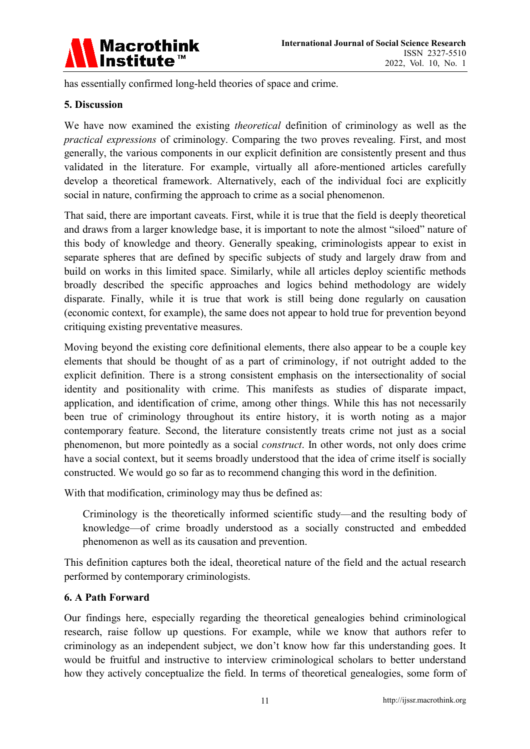

has essentially confirmed long-held theories of space and crime.

#### **5. Discussion**

We have now examined the existing *theoretical* definition of criminology as well as the *practical expressions* of criminology. Comparing the two proves revealing. First, and most generally, the various components in our explicit definition are consistently present and thus validated in the literature. For example, virtually all afore-mentioned articles carefully develop a theoretical framework. Alternatively, each of the individual foci are explicitly social in nature, confirming the approach to crime as a social phenomenon.

That said, there are important caveats. First, while it is true that the field is deeply theoretical and draws from a larger knowledge base, it is important to note the almost "siloed" nature of this body of knowledge and theory. Generally speaking, criminologists appear to exist in separate spheres that are defined by specific subjects of study and largely draw from and build on works in this limited space. Similarly, while all articles deploy scientific methods broadly described the specific approaches and logics behind methodology are widely disparate. Finally, while it is true that work is still being done regularly on causation (economic context, for example), the same does not appear to hold true for prevention beyond critiquing existing preventative measures.

Moving beyond the existing core definitional elements, there also appear to be a couple key elements that should be thought of as a part of criminology, if not outright added to the explicit definition. There is a strong consistent emphasis on the intersectionality of social identity and positionality with crime. This manifests as studies of disparate impact, application, and identification of crime, among other things. While this has not necessarily been true of criminology throughout its entire history, it is worth noting as a major contemporary feature. Second, the literature consistently treats crime not just as a social phenomenon, but more pointedly as a social *construct*. In other words, not only does crime have a social context, but it seems broadly understood that the idea of crime itself is socially constructed. We would go so far as to recommend changing this word in the definition.

With that modification, criminology may thus be defined as:

Criminology is the theoretically informed scientific study—and the resulting body of knowledge—of crime broadly understood as a socially constructed and embedded phenomenon as well as its causation and prevention.

This definition captures both the ideal, theoretical nature of the field and the actual research performed by contemporary criminologists.

#### **6. A Path Forward**

Our findings here, especially regarding the theoretical genealogies behind criminological research, raise follow up questions. For example, while we know that authors refer to criminology as an independent subject, we don't know how far this understanding goes. It would be fruitful and instructive to interview criminological scholars to better understand how they actively conceptualize the field. In terms of theoretical genealogies, some form of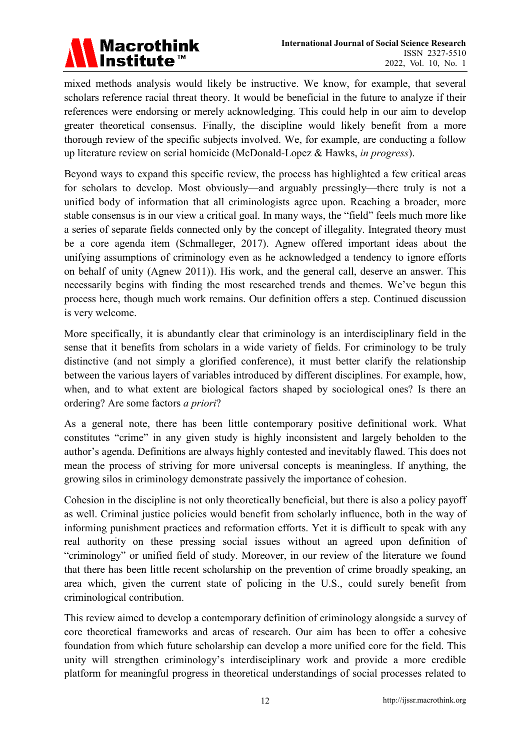

mixed methods analysis would likely be instructive. We know, for example, that several scholars reference racial threat theory. It would be beneficial in the future to analyze if their references were endorsing or merely acknowledging. This could help in our aim to develop greater theoretical consensus. Finally, the discipline would likely benefit from a more thorough review of the specific subjects involved. We, for example, are conducting a follow up literature review on serial homicide (McDonald-Lopez & Hawks, *in progress*).

Beyond ways to expand this specific review, the process has highlighted a few critical areas for scholars to develop. Most obviously—and arguably pressingly—there truly is not a unified body of information that all criminologists agree upon. Reaching a broader, more stable consensus is in our view a critical goal. In many ways, the "field" feels much more like a series of separate fields connected only by the concept of illegality. Integrated theory must be a core agenda item (Schmalleger, 2017). Agnew offered important ideas about the unifying assumptions of criminology even as he acknowledged a tendency to ignore efforts on behalf of unity (Agnew 2011)). His work, and the general call, deserve an answer. This necessarily begins with finding the most researched trends and themes. We've begun this process here, though much work remains. Our definition offers a step. Continued discussion is very welcome.

More specifically, it is abundantly clear that criminology is an interdisciplinary field in the sense that it benefits from scholars in a wide variety of fields. For criminology to be truly distinctive (and not simply a glorified conference), it must better clarify the relationship between the various layers of variables introduced by different disciplines. For example, how, when, and to what extent are biological factors shaped by sociological ones? Is there an ordering? Are some factors *a priori*?

As a general note, there has been little contemporary positive definitional work. What constitutes "crime" in any given study is highly inconsistent and largely beholden to the author's agenda. Definitions are always highly contested and inevitably flawed. This does not mean the process of striving for more universal concepts is meaningless. If anything, the growing silos in criminology demonstrate passively the importance of cohesion.

Cohesion in the discipline is not only theoretically beneficial, but there is also a policy payoff as well. Criminal justice policies would benefit from scholarly influence, both in the way of informing punishment practices and reformation efforts. Yet it is difficult to speak with any real authority on these pressing social issues without an agreed upon definition of "criminology" or unified field of study. Moreover, in our review of the literature we found that there has been little recent scholarship on the prevention of crime broadly speaking, an area which, given the current state of policing in the U.S., could surely benefit from criminological contribution.

This review aimed to develop a contemporary definition of criminology alongside a survey of core theoretical frameworks and areas of research. Our aim has been to offer a cohesive foundation from which future scholarship can develop a more unified core for the field. This unity will strengthen criminology's interdisciplinary work and provide a more credible platform for meaningful progress in theoretical understandings of social processes related to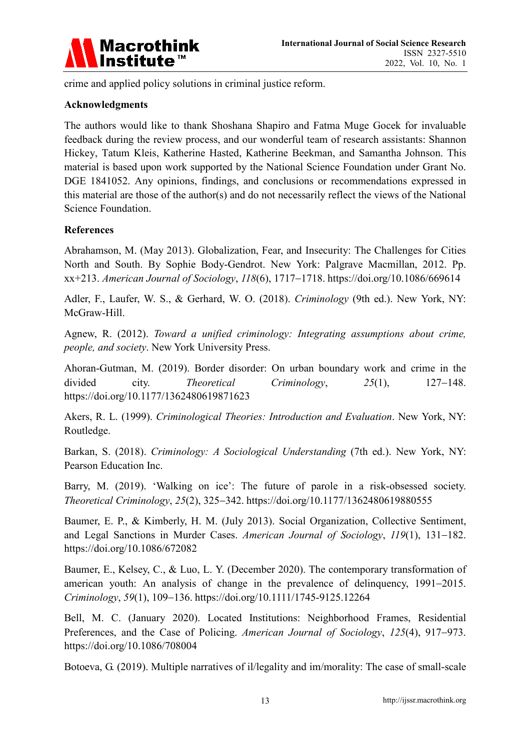

crime and applied policy solutions in criminal justice reform.

#### **Acknowledgments**

The authors would like to thank Shoshana Shapiro and Fatma Muge Gocek for invaluable feedback during the review process, and our wonderful team of research assistants: Shannon Hickey, Tatum Kleis, Katherine Hasted, Katherine Beekman, and Samantha Johnson. This material is based upon work supported by the National Science Foundation under Grant No. DGE 1841052. Any opinions, findings, and conclusions or recommendations expressed in this material are those of the author(s) and do not necessarily reflect the views of the National Science Foundation.

#### **References**

Abrahamson, M. (May 2013). Globalization, Fear, and Insecurity: The Challenges for Cities North and South. By Sophie Body-Gendrot. New York: Palgrave Macmillan, 2012. Pp. xx+213. *American Journal of Sociology*, *118*(6), 1717−1718. https://doi.org/10.1086/669614

Adler, F., Laufer, W. S., & Gerhard, W. O. (2018). *Criminology* (9th ed.). New York, NY: McGraw-Hill.

Agnew, R. (2012). *Toward a unified criminology: Integrating assumptions about crime, people, and society*. New York University Press.

Ahoran-Gutman, M. (2019). Border disorder: On urban boundary work and crime in the divided city. *Theoretical Criminology*, *25*(1), 127−148. https://doi.org/10.1177/1362480619871623

Akers, R. L. (1999). *Criminological Theories: Introduction and Evaluation*. New York, NY: Routledge.

Barkan, S. (2018). *Criminology: A Sociological Understanding* (7th ed.). New York, NY: Pearson Education Inc.

Barry, M. (2019). 'Walking on ice': The future of parole in a risk-obsessed society. *Theoretical Criminology*, *25*(2), 325−342. https://doi.org/10.1177/1362480619880555

Baumer, E. P., & Kimberly, H. M. (July 2013). Social Organization, Collective Sentiment, and Legal Sanctions in Murder Cases. *American Journal of Sociology*, *119*(1), 131−182. https://doi.org/10.1086/672082

Baumer, E., Kelsey, C., & Luo, L. Y. (December 2020). The contemporary transformation of american youth: An analysis of change in the prevalence of delinquency, 1991−2015. *Criminology*, *59*(1), 109−136. https://doi.org/10.1111/1745-9125.12264

Bell, M. C. (January 2020). Located Institutions: Neighborhood Frames, Residential Preferences, and the Case of Policing. *American Journal of Sociology*, *125*(4), 917−973. https://doi.org/10.1086/708004

Botoeva, G. (2019). Multiple narratives of il/legality and im/morality: The case of small-scale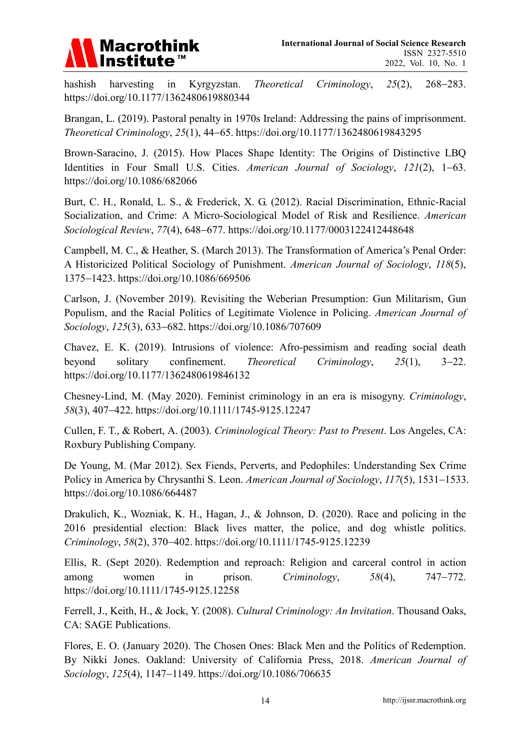

hashish harvesting in Kyrgyzstan. *Theoretical Criminology*, *25*(2), 268−283. https://doi.org/10.1177/1362480619880344

Brangan, L. (2019). Pastoral penalty in 1970s Ireland: Addressing the pains of imprisonment. *Theoretical Criminology*, *25*(1), 44−65. https://doi.org/10.1177/1362480619843295

Brown-Saracino, J. (2015). How Places Shape Identity: The Origins of Distinctive LBQ Identities in Four Small U.S. Cities. *American Journal of Sociology*, *121*(2), 1−63. https://doi.org/10.1086/682066

Burt, C. H., Ronald, L. S., & Frederick, X. G. (2012). Racial Discrimination, Ethnic-Racial Socialization, and Crime: A Micro-Sociological Model of Risk and Resilience. *American Sociological Review*, *77*(4), 648−677. https://doi.org/10.1177/0003122412448648

Campbell, M. C., & Heather, S. (March 2013). The Transformation of America's Penal Order: A Historicized Political Sociology of Punishment. *American Journal of Sociology*, *118*(5), 1375−1423. https://doi.org/10.1086/669506

Carlson, J. (November 2019). Revisiting the Weberian Presumption: Gun Militarism, Gun Populism, and the Racial Politics of Legitimate Violence in Policing. *American Journal of Sociology*, *125*(3), 633−682. https://doi.org/10.1086/707609

Chavez, E. K. (2019). Intrusions of violence: Afro-pessimism and reading social death beyond solitary confinement. *Theoretical Criminology*, *25*(1), 3−22. https://doi.org/10.1177/1362480619846132

Chesney-Lind, M. (May 2020). Feminist criminology in an era is misogyny. *Criminology*, *58*(3), 407−422. https://doi.org/10.1111/1745-9125.12247

Cullen, F. T., & Robert, A. (2003). *Criminological Theory: Past to Present*. Los Angeles, CA: Roxbury Publishing Company.

De Young, M. (Mar 2012). Sex Fiends, Perverts, and Pedophiles: Understanding Sex Crime Policy in America by Chrysanthi S. Leon. *American Journal of Sociology*, *117*(5), 1531−1533. https://doi.org/10.1086/664487

Drakulich, K., Wozniak, K. H., Hagan, J., & Johnson, D. (2020). Race and policing in the 2016 presidential election: Black lives matter, the police, and dog whistle politics. *Criminology*, *58*(2), 370−402. https://doi.org/10.1111/1745-9125.12239

Ellis, R. (Sept 2020). Redemption and reproach: Religion and carceral control in action among women in prison. *Criminology*, *58*(4), 747−772. https://doi.org/10.1111/1745-9125.12258

Ferrell, J., Keith, H., & Jock, Y. (2008). *Cultural Criminology: An Invitation*. Thousand Oaks, CA: SAGE Publications.

Flores, E. O. (January 2020). The Chosen Ones: Black Men and the Politics of Redemption. By Nikki Jones. Oakland: University of California Press, 2018. *American Journal of Sociology*, *125*(4), 1147−1149. https://doi.org/10.1086/706635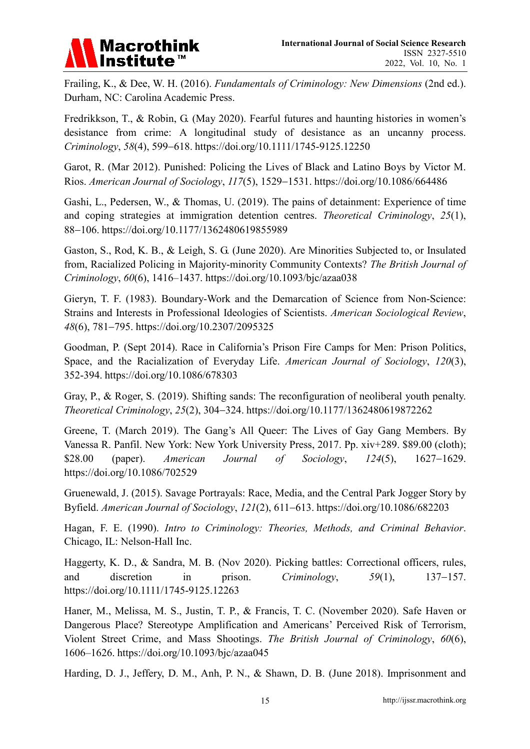# **Macrothink** Institute<sup>™</sup>

Frailing, K., & Dee, W. H. (2016). *Fundamentals of Criminology: New Dimensions* (2nd ed.). Durham, NC: Carolina Academic Press.

Fredrikkson, T., & Robin, G. (May 2020). Fearful futures and haunting histories in women's desistance from crime: A longitudinal study of desistance as an uncanny process. *Criminology*, *58*(4), 599−618. https://doi.org/10.1111/1745-9125.12250

Garot, R. (Mar 2012). Punished: Policing the Lives of Black and Latino Boys by Victor M. Rios. *American Journal of Sociology*, *117*(5), 1529−1531. https://doi.org/10.1086/664486

Gashi, L., Pedersen, W., & Thomas, U. (2019). The pains of detainment: Experience of time and coping strategies at immigration detention centres. *Theoretical Criminology*, *25*(1), 88−106. https://doi.org/10.1177/1362480619855989

Gaston, S., Rod, K. B., & Leigh, S. G. (June 2020). Are Minorities Subjected to, or Insulated from, Racialized Policing in Majority-minority Community Contexts? *The British Journal of Criminology*, *60*(6), 1416–1437. https://doi.org/10.1093/bjc/azaa038

Gieryn, T. F. (1983). Boundary-Work and the Demarcation of Science from Non-Science: Strains and Interests in Professional Ideologies of Scientists. *American Sociological Review*, *48*(6), 781−795. https://doi.org/10.2307/2095325

Goodman, P. (Sept 2014). Race in California's Prison Fire Camps for Men: Prison Politics, Space, and the Racialization of Everyday Life. *American Journal of Sociology*, *120*(3), 352-394. https://doi.org/10.1086/678303

Gray, P., & Roger, S. (2019). Shifting sands: The reconfiguration of neoliberal youth penalty. *Theoretical Criminology*, *25*(2), 304−324. https://doi.org/10.1177/1362480619872262

Greene, T. (March 2019). The Gang's All Queer: The Lives of Gay Gang Members. By Vanessa R. Panfil. New York: New York University Press, 2017. Pp. xiv+289. \$89.00 (cloth); \$28.00 (paper). *American Journal of Sociology*, *124*(5), 1627−1629. https://doi.org/10.1086/702529

Gruenewald, J. (2015). Savage Portrayals: Race, Media, and the Central Park Jogger Story by Byfield. *American Journal of Sociology*, *121*(2), 611−613. https://doi.org/10.1086/682203

Hagan, F. E. (1990). *Intro to Criminology: Theories, Methods, and Criminal Behavior*. Chicago, IL: Nelson-Hall Inc.

Haggerty, K. D., & Sandra, M. B. (Nov 2020). Picking battles: Correctional officers, rules, and discretion in prison. *Criminology*, *59*(1), 137−157. https://doi.org/10.1111/1745-9125.12263

Haner, M., Melissa, M. S., Justin, T. P., & Francis, T. C. (November 2020). Safe Haven or Dangerous Place? Stereotype Amplification and Americans' Perceived Risk of Terrorism, Violent Street Crime, and Mass Shootings. *The British Journal of Criminology*, *60*(6), 1606–1626. https://doi.org/10.1093/bjc/azaa045

Harding, D. J., Jeffery, D. M., Anh, P. N., & Shawn, D. B. (June 2018). Imprisonment and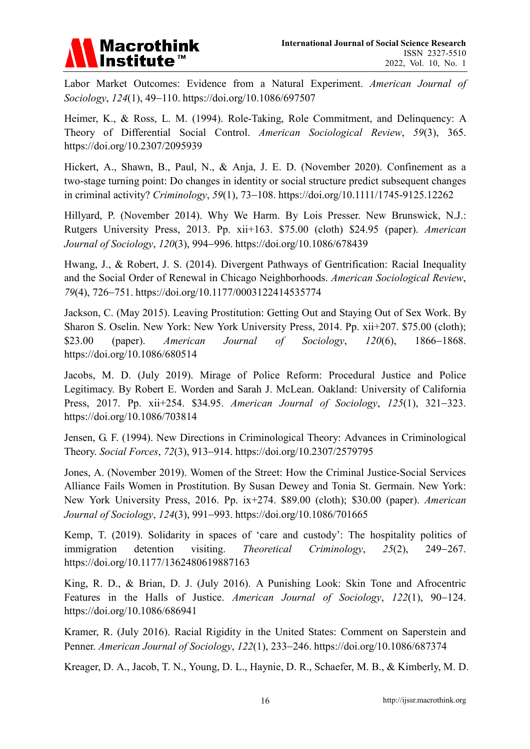

Labor Market Outcomes: Evidence from a Natural Experiment. *American Journal of Sociology*, *124*(1), 49−110. https://doi.org/10.1086/697507

Heimer, K., & Ross, L. M. (1994). Role-Taking, Role Commitment, and Delinquency: A Theory of Differential Social Control. *American Sociological Review*, *59*(3), 365. https://doi.org/10.2307/2095939

Hickert, A., Shawn, B., Paul, N., & Anja, J. E. D. (November 2020). Confinement as a two-stage turning point: Do changes in identity or social structure predict subsequent changes in criminal activity? *Criminology*, *59*(1), 73−108. https://doi.org/10.1111/1745-9125.12262

Hillyard, P. (November 2014). Why We Harm. By Lois Presser. New Brunswick, N.J.: Rutgers University Press, 2013. Pp. xii+163. \$75.00 (cloth) \$24.95 (paper). *American Journal of Sociology*, *120*(3), 994−996. https://doi.org/10.1086/678439

Hwang, J., & Robert, J. S. (2014). Divergent Pathways of Gentrification: Racial Inequality and the Social Order of Renewal in Chicago Neighborhoods. *American Sociological Review*, *79*(4), 726−751. https://doi.org/10.1177/0003122414535774

Jackson, C. (May 2015). Leaving Prostitution: Getting Out and Staying Out of Sex Work. By Sharon S. Oselin. New York: New York University Press, 2014. Pp. xii+207. \$75.00 (cloth); \$23.00 (paper). *American Journal of Sociology*, *120*(6), 1866−1868. https://doi.org/10.1086/680514

Jacobs, M. D. (July 2019). Mirage of Police Reform: Procedural Justice and Police Legitimacy. By Robert E. Worden and Sarah J. McLean. Oakland: University of California Press, 2017. Pp. xii+254. \$34.95. *American Journal of Sociology*, *125*(1), 321−323. https://doi.org/10.1086/703814

Jensen, G. F. (1994). New Directions in Criminological Theory: Advances in Criminological Theory. *Social Forces*, *72*(3), 913−914. https://doi.org/10.2307/2579795

Jones, A. (November 2019). Women of the Street: How the Criminal Justice-Social Services Alliance Fails Women in Prostitution. By Susan Dewey and Tonia St. Germain. New York: New York University Press, 2016. Pp. ix+274. \$89.00 (cloth); \$30.00 (paper). *American Journal of Sociology*, *124*(3), 991−993. https://doi.org/10.1086/701665

Kemp, T. (2019). Solidarity in spaces of 'care and custody': The hospitality politics of immigration detention visiting. *Theoretical Criminology*, *25*(2), 249−267. https://doi.org/10.1177/1362480619887163

King, R. D., & Brian, D. J. (July 2016). A Punishing Look: Skin Tone and Afrocentric Features in the Halls of Justice. *American Journal of Sociology*, *122*(1), 90−124. https://doi.org/10.1086/686941

Kramer, R. (July 2016). Racial Rigidity in the United States: Comment on Saperstein and Penner. *American Journal of Sociology*, *122*(1), 233−246. https://doi.org/10.1086/687374

Kreager, D. A., Jacob, T. N., Young, D. L., Haynie, D. R., Schaefer, M. B., & Kimberly, M. D.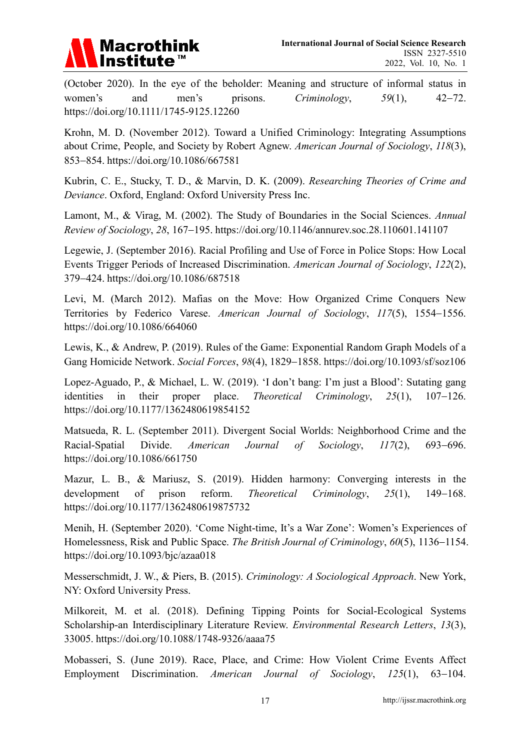

(October 2020). In the eye of the beholder: Meaning and structure of informal status in women's and men's prisons. *Criminology*, *59*(1), 42−72. https://doi.org/10.1111/1745-9125.12260

Krohn, M. D. (November 2012). Toward a Unified Criminology: Integrating Assumptions about Crime, People, and Society by Robert Agnew. *American Journal of Sociology*, *118*(3), 853−854. https://doi.org/10.1086/667581

Kubrin, C. E., Stucky, T. D., & Marvin, D. K. (2009). *Researching Theories of Crime and Deviance*. Oxford, England: Oxford University Press Inc.

Lamont, M., & Virag, M. (2002). The Study of Boundaries in the Social Sciences. *Annual Review of Sociology*, *28*, 167−195. https://doi.org/10.1146/annurev.soc.28.110601.141107

Legewie, J. (September 2016). Racial Profiling and Use of Force in Police Stops: How Local Events Trigger Periods of Increased Discrimination. *American Journal of Sociology*, *122*(2), 379−424. https://doi.org/10.1086/687518

Levi, M. (March 2012). Mafias on the Move: How Organized Crime Conquers New Territories by Federico Varese. *American Journal of Sociology*, *117*(5), 1554−1556. https://doi.org/10.1086/664060

Lewis, K., & Andrew, P. (2019). Rules of the Game: Exponential Random Graph Models of a Gang Homicide Network. *Social Forces*, *98*(4), 1829−1858. https://doi.org/10.1093/sf/soz106

Lopez-Aguado, P., & Michael, L. W. (2019). 'I don't bang: I'm just a Blood': Sutating gang identities in their proper place. *Theoretical Criminology*, *25*(1), 107−126. https://doi.org/10.1177/1362480619854152

Matsueda, R. L. (September 2011). Divergent Social Worlds: Neighborhood Crime and the Racial-Spatial Divide. *American Journal of Sociology*, *117*(2), 693−696. https://doi.org/10.1086/661750

Mazur, L. B., & Mariusz, S. (2019). Hidden harmony: Converging interests in the development of prison reform. *Theoretical Criminology*, *25*(1), 149−168. https://doi.org/10.1177/1362480619875732

Menih, H. (September 2020). 'Come Night-time, It's a War Zone': Women's Experiences of Homelessness, Risk and Public Space. *The British Journal of Criminology*, *60*(5), 1136−1154. https://doi.org/10.1093/bjc/azaa018

Messerschmidt, J. W., & Piers, B. (2015). *Criminology: A Sociological Approach*. New York, NY: Oxford University Press.

Milkoreit, M. et al. (2018). Defining Tipping Points for Social-Ecological Systems Scholarship-an Interdisciplinary Literature Review. *Environmental Research Letters*, *13*(3), 33005. https://doi.org/10.1088/1748-9326/aaaa75

Mobasseri, S. (June 2019). Race, Place, and Crime: How Violent Crime Events Affect Employment Discrimination. *American Journal of Sociology*, *125*(1), 63−104.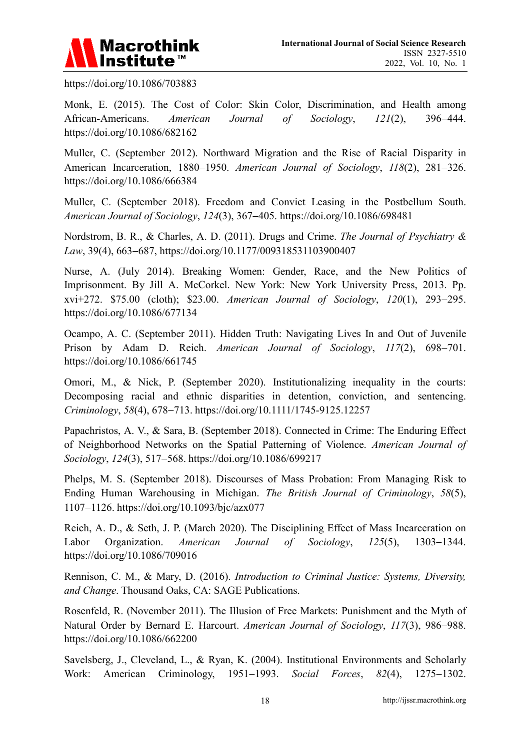

https://doi.org/10.1086/703883

Monk, E. (2015). The Cost of Color: Skin Color, Discrimination, and Health among African-Americans. *American Journal of Sociology*, *121*(2), 396−444. https://doi.org/10.1086/682162

Muller, C. (September 2012). Northward Migration and the Rise of Racial Disparity in American Incarceration, 1880−1950. *American Journal of Sociology*, *118*(2), 281−326. https://doi.org/10.1086/666384

Muller, C. (September 2018). Freedom and Convict Leasing in the Postbellum South. *American Journal of Sociology*, *124*(3), 367−405. https://doi.org/10.1086/698481

Nordstrom, B. R., & Charles, A. D. (2011). Drugs and Crime. *The Journal of Psychiatry & Law*, 39(4), 663−687, https://doi.org/10.1177/009318531103900407

Nurse, A. (July 2014). Breaking Women: Gender, Race, and the New Politics of Imprisonment. By Jill A. McCorkel. New York: New York University Press, 2013. Pp. xvi+272. \$75.00 (cloth); \$23.00. *American Journal of Sociology*, *120*(1), 293−295. https://doi.org/10.1086/677134

Ocampo, A. C. (September 2011). Hidden Truth: Navigating Lives In and Out of Juvenile Prison by Adam D. Reich. *American Journal of Sociology*, *117*(2), 698−701. https://doi.org/10.1086/661745

Omori, M., & Nick, P. (September 2020). Institutionalizing inequality in the courts: Decomposing racial and ethnic disparities in detention, conviction, and sentencing. *Criminology*, *58*(4), 678−713. https://doi.org/10.1111/1745-9125.12257

Papachristos, A. V., & Sara, B. (September 2018). Connected in Crime: The Enduring Effect of Neighborhood Networks on the Spatial Patterning of Violence. *American Journal of Sociology*, *124*(3), 517−568. https://doi.org/10.1086/699217

Phelps, M. S. (September 2018). Discourses of Mass Probation: From Managing Risk to Ending Human Warehousing in Michigan. *The British Journal of Criminology*, *58*(5), 1107−1126. https://doi.org/10.1093/bjc/azx077

Reich, A. D., & Seth, J. P. (March 2020). The Disciplining Effect of Mass Incarceration on Labor Organization. *American Journal of Sociology*, *125*(5), 1303−1344. https://doi.org/10.1086/709016

Rennison, C. M., & Mary, D. (2016). *Introduction to Criminal Justice: Systems, Diversity, and Change*. Thousand Oaks, CA: SAGE Publications.

Rosenfeld, R. (November 2011). The Illusion of Free Markets: Punishment and the Myth of Natural Order by Bernard E. Harcourt. *American Journal of Sociology*, *117*(3), 986−988. https://doi.org/10.1086/662200

Savelsberg, J., Cleveland, L., & Ryan, K. (2004). Institutional Environments and Scholarly Work: American Criminology, 1951−1993. *Social Forces*, *82*(4), 1275−1302.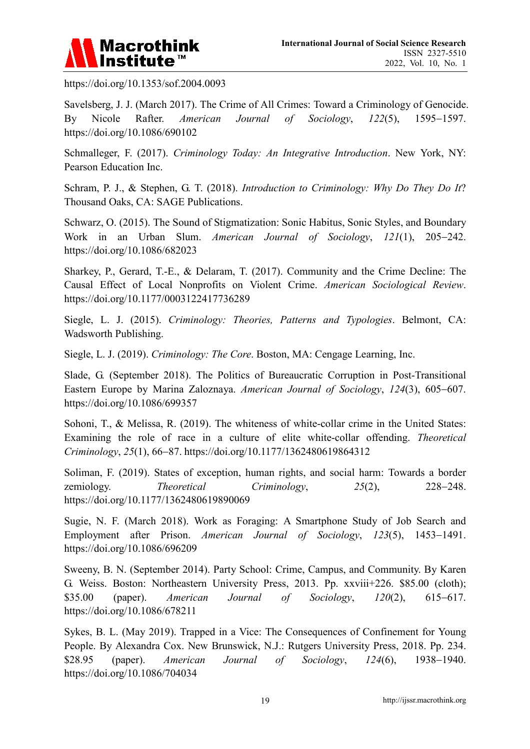

https://doi.org/10.1353/sof.2004.0093

Savelsberg, J. J. (March 2017). The Crime of All Crimes: Toward a Criminology of Genocide. By Nicole Rafter. *American Journal of Sociology*, *122*(5), 1595−1597. https://doi.org/10.1086/690102

Schmalleger, F. (2017). *Criminology Today: An Integrative Introduction*. New York, NY: Pearson Education Inc.

Schram, P. J., & Stephen, G. T. (2018). *Introduction to Criminology: Why Do They Do It*? Thousand Oaks, CA: SAGE Publications.

Schwarz, O. (2015). The Sound of Stigmatization: Sonic Habitus, Sonic Styles, and Boundary Work in an Urban Slum. *American Journal of Sociology*, *121*(1), 205−242. https://doi.org/10.1086/682023

Sharkey, P., Gerard, T.-E., & Delaram, T. (2017). Community and the Crime Decline: The Causal Effect of Local Nonprofits on Violent Crime. *American Sociological Review*. https://doi.org/10.1177/0003122417736289

Siegle, L. J. (2015). *Criminology: Theories, Patterns and Typologies*. Belmont, CA: Wadsworth Publishing.

Siegle, L. J. (2019). *Criminology: The Core*. Boston, MA: Cengage Learning, Inc.

Slade, G. (September 2018). The Politics of Bureaucratic Corruption in Post-Transitional Eastern Europe by Marina Zaloznaya. *American Journal of Sociology*, *124*(3), 605−607. https://doi.org/10.1086/699357

Sohoni, T., & Melissa, R. (2019). The whiteness of white-collar crime in the United States: Examining the role of race in a culture of elite white-collar offending. *Theoretical Criminology*, *25*(1), 66−87. https://doi.org/10.1177/1362480619864312

Soliman, F. (2019). States of exception, human rights, and social harm: Towards a border zemiology. *Theoretical Criminology*, *25*(2), 228−248. https://doi.org/10.1177/1362480619890069

Sugie, N. F. (March 2018). Work as Foraging: A Smartphone Study of Job Search and Employment after Prison. *American Journal of Sociology*, *123*(5), 1453−1491. https://doi.org/10.1086/696209

Sweeny, B. N. (September 2014). Party School: Crime, Campus, and Community. By Karen G. Weiss. Boston: Northeastern University Press, 2013. Pp. xxviii+226. \$85.00 (cloth); \$35.00 (paper). *American Journal of Sociology*, *120*(2), 615−617. https://doi.org/10.1086/678211

Sykes, B. L. (May 2019). Trapped in a Vice: The Consequences of Confinement for Young People. By Alexandra Cox. New Brunswick, N.J.: Rutgers University Press, 2018. Pp. 234. \$28.95 (paper). *American Journal of Sociology*, *124*(6), 1938−1940. https://doi.org/10.1086/704034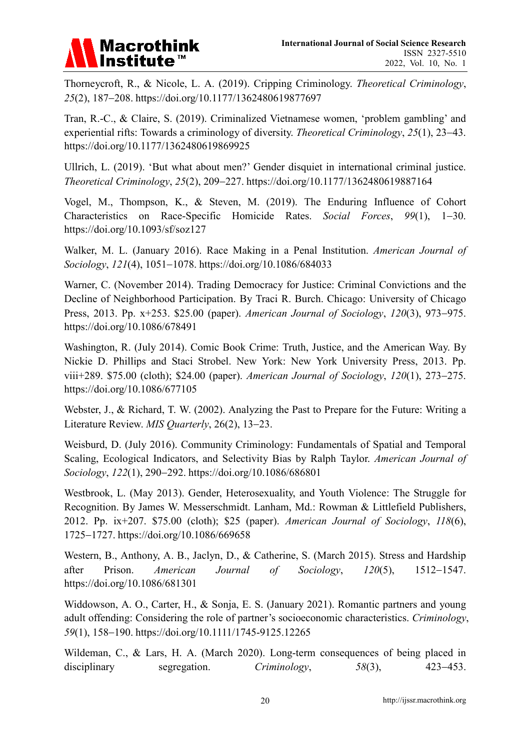

Thorneycroft, R., & Nicole, L. A. (2019). Cripping Criminology. *Theoretical Criminology*, *25*(2), 187−208. https://doi.org/10.1177/1362480619877697

Tran, R.-C., & Claire, S. (2019). Criminalized Vietnamese women, 'problem gambling' and experiential rifts: Towards a criminology of diversity. *Theoretical Criminology*, *25*(1), 23−43. https://doi.org/10.1177/1362480619869925

Ullrich, L. (2019). 'But what about men?' Gender disquiet in international criminal justice. *Theoretical Criminology*, *25*(2), 209−227. https://doi.org/10.1177/1362480619887164

Vogel, M., Thompson, K., & Steven, M. (2019). The Enduring Influence of Cohort Characteristics on Race-Specific Homicide Rates. *Social Forces*, *99*(1), 1−30. https://doi.org/10.1093/sf/soz127

Walker, M. L. (January 2016). Race Making in a Penal Institution. *American Journal of Sociology*, *121*(4), 1051−1078. https://doi.org/10.1086/684033

Warner, C. (November 2014). Trading Democracy for Justice: Criminal Convictions and the Decline of Neighborhood Participation. By Traci R. Burch. Chicago: University of Chicago Press, 2013. Pp. x+253. \$25.00 (paper). *American Journal of Sociology*, *120*(3), 973−975. https://doi.org/10.1086/678491

Washington, R. (July 2014). Comic Book Crime: Truth, Justice, and the American Way. By Nickie D. Phillips and Staci Strobel. New York: New York University Press, 2013. Pp. viii+289. \$75.00 (cloth); \$24.00 (paper). *American Journal of Sociology*, *120*(1), 273−275. https://doi.org/10.1086/677105

Webster, J., & Richard, T. W. (2002). Analyzing the Past to Prepare for the Future: Writing a Literature Review. *MIS Quarterly*, 26(2), 13−23.

Weisburd, D. (July 2016). Community Criminology: Fundamentals of Spatial and Temporal Scaling, Ecological Indicators, and Selectivity Bias by Ralph Taylor. *American Journal of Sociology*, *122*(1), 290−292. https://doi.org/10.1086/686801

Westbrook, L. (May 2013). Gender, Heterosexuality, and Youth Violence: The Struggle for Recognition. By James W. Messerschmidt. Lanham, Md.: Rowman & Littlefield Publishers, 2012. Pp. ix+207. \$75.00 (cloth); \$25 (paper). *American Journal of Sociology*, *118*(6), 1725−1727. https://doi.org/10.1086/669658

Western, B., Anthony, A. B., Jaclyn, D., & Catherine, S. (March 2015). Stress and Hardship after Prison. *American Journal of Sociology*, *120*(5), 1512−1547. https://doi.org/10.1086/681301

Widdowson, A. O., Carter, H., & Sonja, E. S. (January 2021). Romantic partners and young adult offending: Considering the role of partner's socioeconomic characteristics. *Criminology*, *59*(1), 158−190. https://doi.org/10.1111/1745-9125.12265

Wildeman, C., & Lars, H. A. (March 2020). Long-term consequences of being placed in disciplinary segregation. *Criminology*, *58*(3), 423−453.